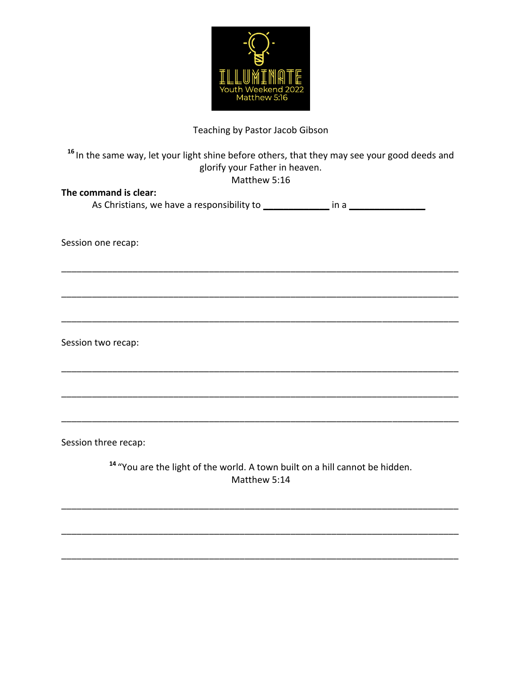

## Teaching by Pastor Jacob Gibson

## <sup>16</sup> In the same way, let your light shine before others, that they may see your good deeds and glorify your Father in heaven. Matthew 5:16

| The command is clear:                                                            |  |
|----------------------------------------------------------------------------------|--|
| As Christians, we have a responsibility to __________________ in a _____________ |  |
|                                                                                  |  |
|                                                                                  |  |
| Session one recap:                                                               |  |
|                                                                                  |  |
|                                                                                  |  |
|                                                                                  |  |
|                                                                                  |  |
|                                                                                  |  |
|                                                                                  |  |
| Session two recap:                                                               |  |
|                                                                                  |  |
|                                                                                  |  |

Session three recap:

<sup>14</sup> "You are the light of the world. A town built on a hill cannot be hidden. Matthew 5:14